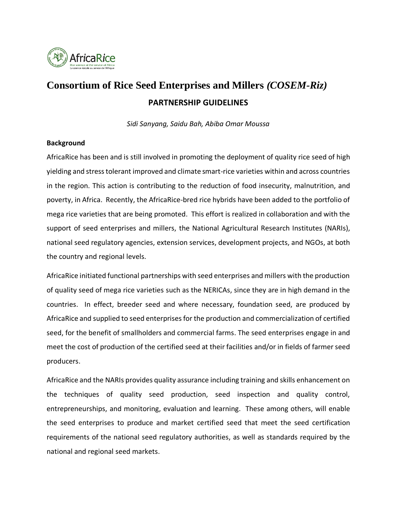

# **Consortium of Rice Seed Enterprises and Millers** *(COSEM-Riz)* **PARTNERSHIP GUIDELINES**

*Sidi Sanyang, Saidu Bah, Abiba Omar Moussa*

#### **Background**

AfricaRice has been and is still involved in promoting the deployment of quality rice seed of high yielding and stress tolerant improved and climate smart-rice varieties within and across countries in the region. This action is contributing to the reduction of food insecurity, malnutrition, and poverty, in Africa. Recently, the AfricaRice-bred rice hybrids have been added to the portfolio of mega rice varieties that are being promoted. This effort is realized in collaboration and with the support of seed enterprises and millers, the National Agricultural Research Institutes (NARIs), national seed regulatory agencies, extension services, development projects, and NGOs, at both the country and regional levels.

AfricaRice initiated functional partnerships with seed enterprises and millers with the production of quality seed of mega rice varieties such as the NERICAs, since they are in high demand in the countries. In effect, breeder seed and where necessary, foundation seed, are produced by AfricaRice and supplied to seed enterprises for the production and commercialization of certified seed, for the benefit of smallholders and commercial farms. The seed enterprises engage in and meet the cost of production of the certified seed at their facilities and/or in fields of farmer seed producers.

AfricaRice and the NARIs provides quality assurance including training and skills enhancement on the techniques of quality seed production, seed inspection and quality control, entrepreneurships, and monitoring, evaluation and learning. These among others, will enable the seed enterprises to produce and market certified seed that meet the seed certification requirements of the national seed regulatory authorities, as well as standards required by the national and regional seed markets.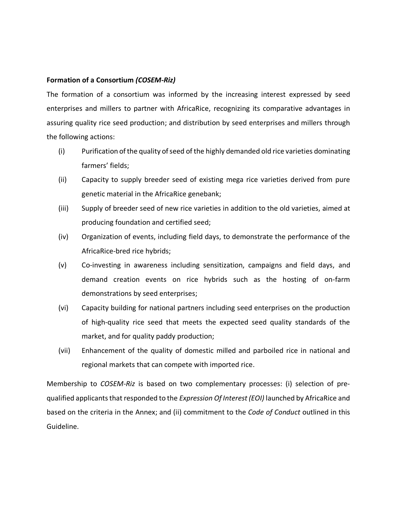#### **Formation of a Consortium** *(COSEM-Riz)*

The formation of a consortium was informed by the increasing interest expressed by seed enterprises and millers to partner with AfricaRice, recognizing its comparative advantages in assuring quality rice seed production; and distribution by seed enterprises and millers through the following actions:

- (i) Purification ofthe quality of seed of the highly demanded old rice varieties dominating farmers' fields;
- (ii) Capacity to supply breeder seed of existing mega rice varieties derived from pure genetic material in the AfricaRice genebank;
- (iii) Supply of breeder seed of new rice varieties in addition to the old varieties, aimed at producing foundation and certified seed;
- (iv) Organization of events, including field days, to demonstrate the performance of the AfricaRice-bred rice hybrids;
- (v) Co-investing in awareness including sensitization, campaigns and field days, and demand creation events on rice hybrids such as the hosting of on-farm demonstrations by seed enterprises;
- (vi) Capacity building for national partners including seed enterprises on the production of high-quality rice seed that meets the expected seed quality standards of the market, and for quality paddy production;
- (vii) Enhancement of the quality of domestic milled and parboiled rice in national and regional markets that can compete with imported rice.

Membership to *COSEM-Riz* is based on two complementary processes: (i) selection of prequalified applicants that responded to the *Expression Of Interest (EOI)* launched by AfricaRice and based on the criteria in the Annex; and (ii) commitment to the *Code of Conduct* outlined in this Guideline.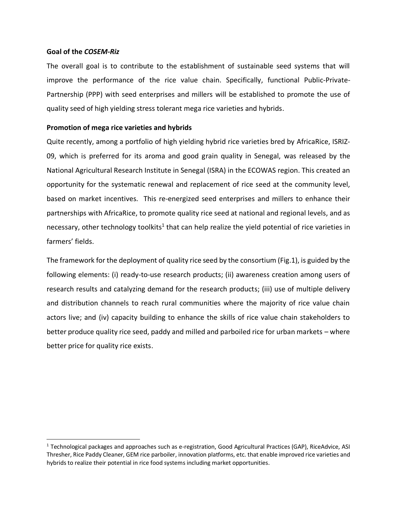#### **Goal of the** *COSEM-Riz*

The overall goal is to contribute to the establishment of sustainable seed systems that will improve the performance of the rice value chain. Specifically, functional Public-Private-Partnership (PPP) with seed enterprises and millers will be established to promote the use of quality seed of high yielding stress tolerant mega rice varieties and hybrids.

### **Promotion of mega rice varieties and hybrids**

Quite recently, among a portfolio of high yielding hybrid rice varieties bred by AfricaRice, ISRIZ-09, which is preferred for its aroma and good grain quality in Senegal, was released by the National Agricultural Research Institute in Senegal (ISRA) in the ECOWAS region. This created an opportunity for the systematic renewal and replacement of rice seed at the community level, based on market incentives. This re-energized seed enterprises and millers to enhance their partnerships with AfricaRice, to promote quality rice seed at national and regional levels, and as necessary, other technology toolkits<sup>1</sup> that can help realize the yield potential of rice varieties in farmers' fields.

The framework for the deployment of quality rice seed by the consortium (Fig.1), is guided by the following elements: (i) ready-to-use research products; (ii) awareness creation among users of research results and catalyzing demand for the research products; (iii) use of multiple delivery and distribution channels to reach rural communities where the majority of rice value chain actors live; and (iv) capacity building to enhance the skills of rice value chain stakeholders to better produce quality rice seed, paddy and milled and parboiled rice for urban markets – where better price for quality rice exists.

<sup>1</sup> Technological packages and approaches such as e-registration, Good Agricultural Practices (GAP), RiceAdvice, ASI Thresher, Rice Paddy Cleaner, GEM rice parboiler, innovation platforms, etc. that enable improved rice varieties and hybrids to realize their potential in rice food systems including market opportunities.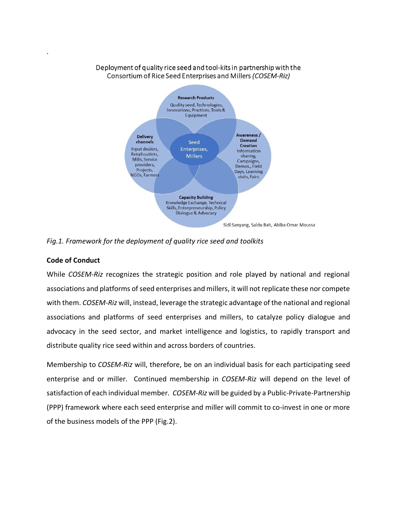#### Deployment of quality rice seed and tool-kits in partnership with the Consortium of Rice Seed Enterprises and Millers (COSEM-Riz)



*Fig.1. Framework for the deployment of quality rice seed and toolkits*

# **Code of Conduct**

.

While *COSEM-Riz* recognizes the strategic position and role played by national and regional associations and platforms of seed enterprises and millers, it will not replicate these nor compete with them. *COSEM-Riz* will, instead, leverage the strategic advantage of the national and regional associations and platforms of seed enterprises and millers, to catalyze policy dialogue and advocacy in the seed sector, and market intelligence and logistics, to rapidly transport and distribute quality rice seed within and across borders of countries.

Membership to *COSEM-Riz* will, therefore, be on an individual basis for each participating seed enterprise and or miller. Continued membership in *COSEM-Riz* will depend on the level of satisfaction of each individual member. *COSEM-Riz* will be guided by a Public-Private-Partnership (PPP) framework where each seed enterprise and miller will commit to co-invest in one or more of the business models of the PPP (Fig.2).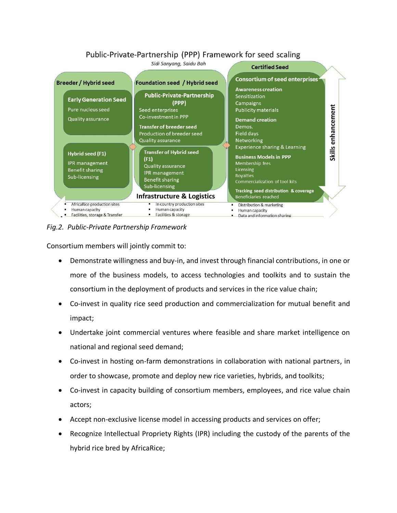# Public-Private-Partnership (PPP) Framework for seed scaling



*Fig.2. Public-Private Partnership Framework* 

Consortium members will jointly commit to:

- Demonstrate willingness and buy-in, and invest through financial contributions, in one or more of the business models, to access technologies and toolkits and to sustain the consortium in the deployment of products and services in the rice value chain;
- Co-invest in quality rice seed production and commercialization for mutual benefit and impact;
- Undertake joint commercial ventures where feasible and share market intelligence on national and regional seed demand;
- Co-invest in hosting on-farm demonstrations in collaboration with national partners, in order to showcase, promote and deploy new rice varieties, hybrids, and toolkits;
- Co-invest in capacity building of consortium members, employees, and rice value chain actors;
- Accept non-exclusive license model in accessing products and services on offer;
- Recognize Intellectual Propriety Rights (IPR) including the custody of the parents of the hybrid rice bred by AfricaRice;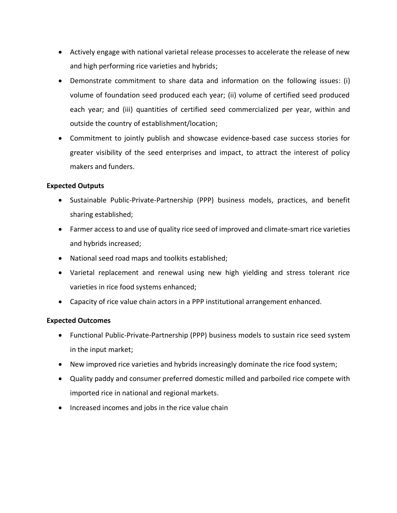- Actively engage with national varietal release processes to accelerate the release of new and high performing rice varieties and hybrids;
- Demonstrate commitment to share data and information on the following issues: (i) volume of foundation seed produced each year; (ii) volume of certified seed produced each year; and (iii) quantities of certified seed commercialized per year, within and outside the country of establishment/location;
- Commitment to jointly publish and showcase evidence-based case success stories for greater visibility of the seed enterprises and impact, to attract the interest of policy makers and funders.

## **Expected Outputs**

- Sustainable Public-Private-Partnership (PPP) business models, practices, and benefit sharing established;
- Farmer access to and use of quality rice seed of improved and climate-smart rice varieties and hybrids increased;
- National seed road maps and toolkits established;
- Varietal replacement and renewal using new high yielding and stress tolerant rice varieties in rice food systems enhanced;
- Capacity of rice value chain actors in a PPP institutional arrangement enhanced.

#### **Expected Outcomes**

- Functional Public-Private-Partnership (PPP) business models to sustain rice seed system in the input market;
- New improved rice varieties and hybrids increasingly dominate the rice food system;
- Quality paddy and consumer preferred domestic milled and parboiled rice compete with imported rice in national and regional markets.
- Increased incomes and jobs in the rice value chain